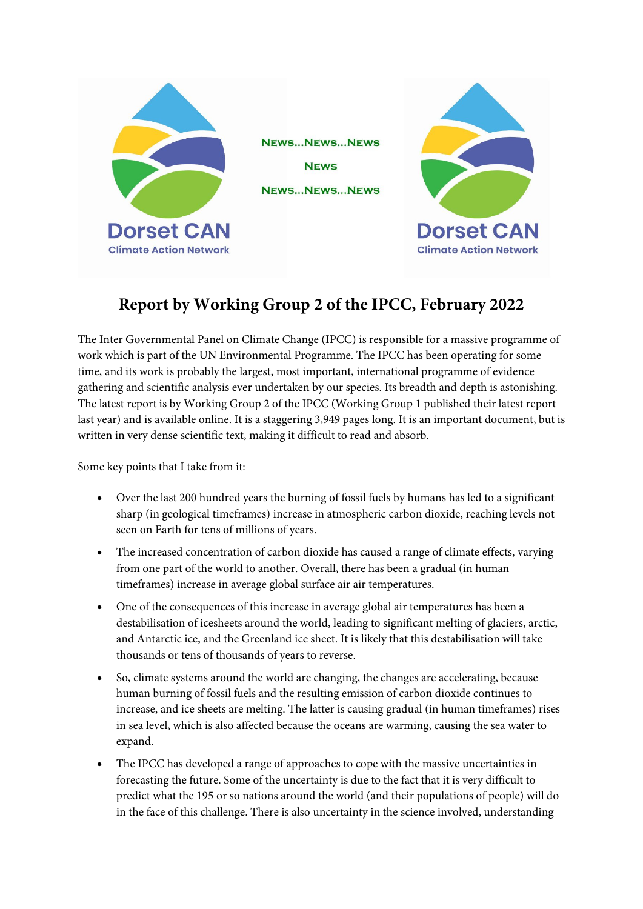

## **Report by Working Group 2 of the IPCC, February 2022**

The Inter Governmental Panel on Climate Change (IPCC) is responsible for a massive programme of work which is part of the UN Environmental Programme. The IPCC has been operating for some time, and its work is probably the largest, most important, international programme of evidence gathering and scientific analysis ever undertaken by our species. Its breadth and depth is astonishing. The latest report is by Working Group 2 of the IPCC (Working Group 1 published their latest report last year) and is available online. It is a staggering 3,949 pages long. It is an important document, but is written in very dense scientific text, making it difficult to read and absorb.

Some key points that I take from it:

- Over the last 200 hundred years the burning of fossil fuels by humans has led to a significant sharp (in geological timeframes) increase in atmospheric carbon dioxide, reaching levels not seen on Earth for tens of millions of years.
- The increased concentration of carbon dioxide has caused a range of climate effects, varying from one part of the world to another. Overall, there has been a gradual (in human timeframes) increase in average global surface air air temperatures.
- One of the consequences of this increase in average global air temperatures has been a destabilisation of icesheets around the world, leading to significant melting of glaciers, arctic, and Antarctic ice, and the Greenland ice sheet. It is likely that this destabilisation will take thousands or tens of thousands of years to reverse.
- So, climate systems around the world are changing, the changes are accelerating, because human burning of fossil fuels and the resulting emission of carbon dioxide continues to increase, and ice sheets are melting. The latter is causing gradual (in human timeframes) rises in sea level, which is also affected because the oceans are warming, causing the sea water to expand.
- The IPCC has developed a range of approaches to cope with the massive uncertainties in forecasting the future. Some of the uncertainty is due to the fact that it is very difficult to predict what the 195 or so nations around the world (and their populations of people) will do in the face of this challenge. There is also uncertainty in the science involved, understanding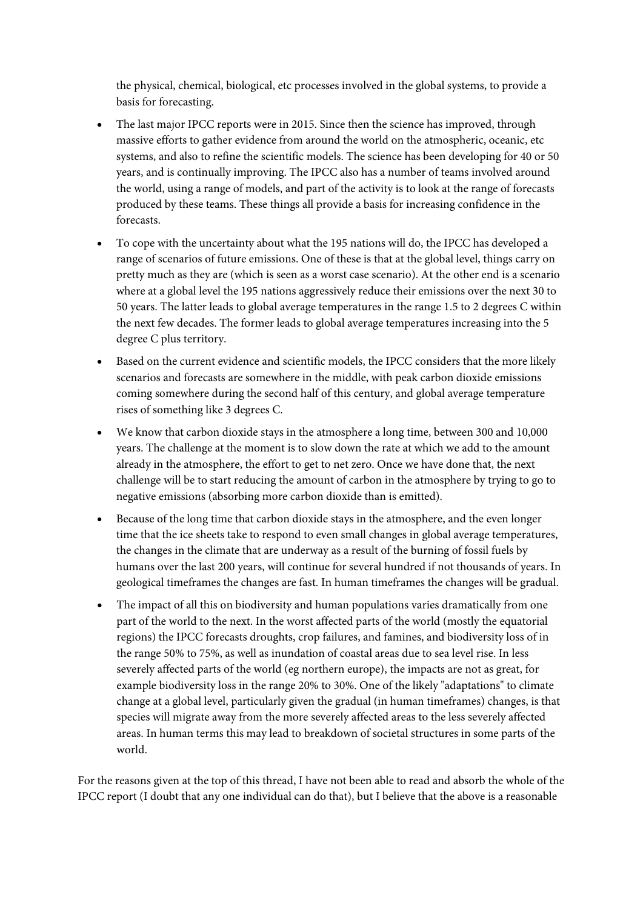the physical, chemical, biological, etc processes involved in the global systems, to provide a basis for forecasting.

- The last major IPCC reports were in 2015. Since then the science has improved, through massive efforts to gather evidence from around the world on the atmospheric, oceanic, etc systems, and also to refine the scientific models. The science has been developing for 40 or 50 years, and is continually improving. The IPCC also has a number of teams involved around the world, using a range of models, and part of the activity is to look at the range of forecasts produced by these teams. These things all provide a basis for increasing confidence in the forecasts.
- To cope with the uncertainty about what the 195 nations will do, the IPCC has developed a range of scenarios of future emissions. One of these is that at the global level, things carry on pretty much as they are (which is seen as a worst case scenario). At the other end is a scenario where at a global level the 195 nations aggressively reduce their emissions over the next 30 to 50 years. The latter leads to global average temperatures in the range 1.5 to 2 degrees C within the next few decades. The former leads to global average temperatures increasing into the 5 degree C plus territory.
- Based on the current evidence and scientific models, the IPCC considers that the more likely scenarios and forecasts are somewhere in the middle, with peak carbon dioxide emissions coming somewhere during the second half of this century, and global average temperature rises of something like 3 degrees C.
- We know that carbon dioxide stays in the atmosphere a long time, between 300 and 10,000 years. The challenge at the moment is to slow down the rate at which we add to the amount already in the atmosphere, the effort to get to net zero. Once we have done that, the next challenge will be to start reducing the amount of carbon in the atmosphere by trying to go to negative emissions (absorbing more carbon dioxide than is emitted).
- Because of the long time that carbon dioxide stays in the atmosphere, and the even longer time that the ice sheets take to respond to even small changes in global average temperatures, the changes in the climate that are underway as a result of the burning of fossil fuels by humans over the last 200 years, will continue for several hundred if not thousands of years. In geological timeframes the changes are fast. In human timeframes the changes will be gradual.
- The impact of all this on biodiversity and human populations varies dramatically from one part of the world to the next. In the worst affected parts of the world (mostly the equatorial regions) the IPCC forecasts droughts, crop failures, and famines, and biodiversity loss of in the range 50% to 75%, as well as inundation of coastal areas due to sea level rise. In less severely affected parts of the world (eg northern europe), the impacts are not as great, for example biodiversity loss in the range 20% to 30%. One of the likely "adaptations" to climate change at a global level, particularly given the gradual (in human timeframes) changes, is that species will migrate away from the more severely affected areas to the less severely affected areas. In human terms this may lead to breakdown of societal structures in some parts of the world.

For the reasons given at the top of this thread, I have not been able to read and absorb the whole of the IPCC report (I doubt that any one individual can do that), but I believe that the above is a reasonable